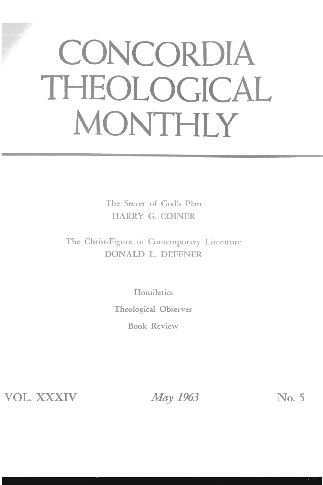# **CONCORDIA THEOLOGICAL MONTHLY**

The Secret of God's Plan HARRY G. COINER

The Christ-Figure in Contemporary Literature DONALD L. DEFFNER

> **Homiletics** Theological Observer Book Review

VOL. XXXIV *May 1963* No. 5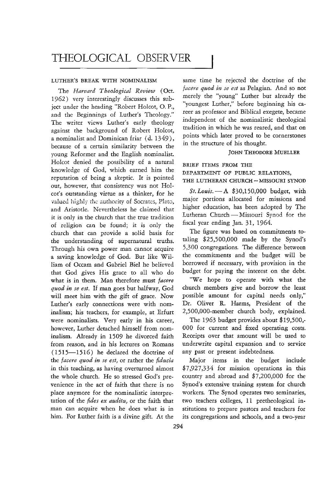## THEOLOGICAL OBSERVER

#### LUTHER'S BREAK WITH NOMINALISM

The *Harvard Theological Review* (Oct. 1962) very interestingly discusses this subject under the heading "Robert Holcot, O.P., and the Beginnings of Luther's Theology." The writer views Luther's early theology against the background of Robert Holeot, a nominalist and Dominican friar (d. 1349), because of a certain similariry between the young Reformer and the English nominalist. Holeot denied the possibiliry of a natural knowledge of God, which earned him the reputation of being a skeptic. It is pointed out, however, that consistency was not Holcot's outstanding virtue as a thinker, for he valued highly the authority of Socrates, Plato, and Aristotle. Nevertheless he claimed that it is only in the church that the true tradition of religion can be found; it is only the church that can provide a solid basis for the understanding of supernatural truths. Through his own power man cannot acquire a saving knowledge of God. But like William of Occam and Gabriel Biel he believed that God gives His grace to all who do what is in them. Man therefore must *facere quod in se est.* If man goes but halfway, God will meet him with the gift of grace. Now Luther's early connections were with nominalism; his teachers, for example, at Erfurt were nominalists. Very early in his career, however, Luther detached himself from nominalism. Already in 1509 he divorced faith from reason, and in his lectures on Romans (1515-15 16) he declared the doctrine of the *facere quod in se est,* or rather the *fiducia*  in this teaching, as having overturned almost the whole church. He so stressed God's prevenience in the act of faith that there is no place anymore for the nominalistic interpretation of the *fides ex auditu,* or the faith that man can acquire when he does what is in him. For Luther faith is a divine gift. At the

same time he rejected the doctrine of the facere quod in se est as Pelagian. And so not merely the "young" Luther but already the "youngest Luther," before beginning his career as professor and Biblical exegete, became independent of the nominalistic theological tradition in which he was reared, and that on points which later proved to be cornerstones in the structure of his thought.

#### JOHN THEODORE MUELLER

BRIEF ITEMS FROM THE DEPARTMENT OF PUBLIC RELATIONS, THE LUTHERAN CHURCH - MISSOURI SYNOD

*St.Louis.-A* \$30,150,000 budget, with major portions allocated for missions and higher education, has been adopted by The Lutheran Church - Missouri Synod for the fiscal year ending Jan. 31, 1964.

The figure was based on commitments totaling \$25,500,000 made by the Synod's 5,300 congregations. The difference between the commitments and the budget will be borrowed if necessary, with provision in the budget for paying the interest on the debt.

"We hope to operate with what the church members give and borrow the least possible amount for capital needs only," Dr. Oliver R. Harms, President of the 2,500,000-member church body, explained.

The 1963 budget provides about \$19,500,- 000 for current and fixed operating costs. Receipts over that amount will be used to underwrite capital expansion and to service any past or present indebtedness.

Major items in the budget include \$7,927,334 for mission operations in this country and abroad and \$7,200,000 for the Synod's extensive training system for church workers. The Synod operates two seminaries, two teachers colleges, 11 pretheological institutions to prepare pastors and teachers for its congregations and schools, and a two-year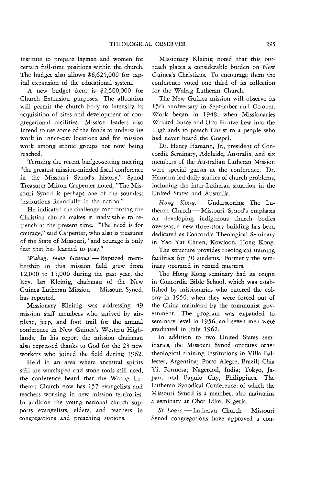institute to prepare laymen and women for certain full-time positions within the church. The budget also allows \$6,625,000 for capital expansion of the educational system.

A new budget item is \$2,500,000 for Church Extension purposes. The allocation will permit the church body to intensify its acquisition of sites and development of congregational facilities. Mission leaders also intend to use some of the funds to underwrite work in inner-city locations and for mission work among ethnic groups not now being reached.

Terming the recent budget-setting meeting "the greatest mission-minded fiscal conference in the Missouri Synod's history," Synod Treasurer Milton Carpenter noted, "The Missouri Synod is perhaps one of the soundest institutions financially in the nation."

He indicated the challenge confronting the Christian church makes it inadvisable to retrench at the present time. "The need is for courage," said Carpenter, who also is treasurer of the State of Missouri, "and courage is only fear that has learned to pray."

*Wabag*, New Guinea.-Baptized membership in this mission field grew from 12,000 to 15,000 during the past year, the Rev. Ian Kleinig, chairman of the New Guinea Lutheran Mission — Missouri Synod, has reported.

Missionary Kleinig was addressing 49 mission staff members who arrived by airplane, jeep, and foot trail for the annual conference in New Guinea's Western Highlands. In his report the mission chairman also expressed thanks to God for the 23 new workers who joined the field during 1962.

Held in an area where ancestral spirits still are worshiped and stone tools still used, the conference heard that the Wabag Lutheran Church now has 157 evangelists and teachers working in new mission territories. In addition the young national church supports evangelists, elders, and teachers in congregations and preaching stations.

Missionary Kleinig noted that this outreach places a considerable burden on New Guinea's Christians. To encourage them the conference voted one third of its collection for the Wabag Lutheran Church.

The New Guinea mission will observe its 15th anniversary in September and October. Work began in 1948, when Missionaries Willard Burce and Otto Hintze flew into the Highlands to preach Christ to a people who had never heard the Gospel.

Dr. Henry Hamann, Jr., president of Concordia Seminary, Adelaide, Australia, and six members of the Australian Lutheran Mission were special guests at the conference. Dr. Hamann led daily studies of church problems, including the inter-Lutheran situation in the United States and Australia.

*Hong Kong.* - Underscoring The Lutheran Church -- Missouri Synod's emphasis on developing indigenous church bodies overseas, a new three-story building has been dedicated as Concordia Theological Seminary in Yao Yat Chuen, Kowloon, Hong Kong.

The structure provides theological training facilities for 30 students. Formerly the seminary operated in rented quarters.

The Hong Kong seminary had its origin in Concordia Bible School, which was established by missionaries who entered the colony in 1950, when they were forced out of the China mainland by the communist government. The program was expanded to seminary level in 1956, and seven men were graduated in July 1962.

In addition to two United States seminaries, the Missouri Synod operates other theological training institutions in Villa Ballester, Argentina; Porto Alegre, Brazil; Chia Yi, Formosa; Nagercoil, India; Tokyo, Japan; and Baguio City, Philippines. The Lutheran Synodical Conference, of which the Missouri Synod is a member, also maintains a seminary at Obot Idim, Nigeria.

St. Louis. - Lutheran Church - Missouri Synod congregations have approved a con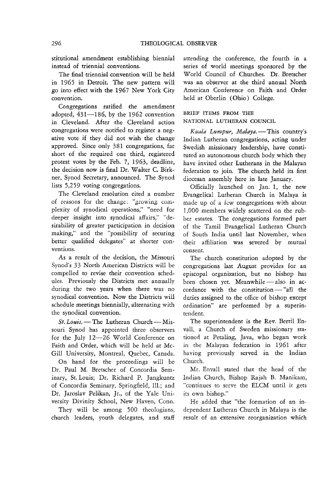stitutional amendment establishing biennial instead of triennial conventions.

The final triennial convention will be held in 1965 in Detroit. The new pattern will go into effect with the 1967 New York City convention.

Congregations ratified the amendment adopted, 431-186, by the 1962 convention in Cleveland. After the Cleveland action congregations were notified to register a negative vote if they did not wish the change approved. Since only 381 congregations, far short of the required one third, registered protest votes by the Feb. 7, 1963, deadline, the decision now is final Dr. Walter C. Birkner, Synod Secretary, announced. The Synod lists 5,259 voting congregations.

The Cleveland resolution cited a number of reasons for the change: "growing complexity of synodical operations," "need for deeper insight into synodical affairs," "desirability of greater participation in decision making," and the "possibility of securing better qualified delegates" at shorter conventions.

As a result of the decision, the Missouri Synod's 33 North American Districts will be compelled to revise their convention schedules. Previously the Districts met annually during the two years when there was no synodical convention. Now the Districts will schedule meetings biennially, alternating with the synodical convention.

*St. Louis.* - The Lutheran Church - Missouri Synod has appointed three observers for the July 12-26 World Conference on Faith and Order, which will be held at Mc-Gill University, Montreal, Quebec, Canada.

On hand for the proceedings will be Dr. Paul M. Bretscher of Concordia Seminary, St. Louis; Dr. Richard P. Jungkuntz of Concordia Seminary, Springfield, Ill.; and Dr. Jaroslav Pelikan, Jr., of the Yale University Divinity School, New Haven, Conn.

They will be among 500 theologians, church leaders, youth delegates, and staff attending the conference, the fourth in a series of world meetings sponsored by the World Council of Churches. Dr. Bretscher was an observer at the third annual North American Conference on Faith and Order held at Oberlin (Ohio) College.

#### BRIEF ITEMS FROM THE NATIONAL LUTHERAN COUNCIL

*Kuala Lumpur, Malaya.* - This country's Indian Lutheran congregations, acting under Swedish missionary leadership, have constituted an autonomous church body which they have invited other Lutherans in the Malayan federation to join. The church held its first diocesan assembly here in late January.

Officially launched on Jan. 1, the new Evangelical Lutheran Church in Malaya is made up of a few congregations with about 1,000 members widely scattered on the rubber estates. The congregations formed part of the Tamil Evangelical Lutheran Church of South India until last November, when their affiliation was severed by mutual consent.

The church constitution adopted by the congregations last August provides for an episcopal organization, but no bishop has been chosen yet. Meanwhile - also in ac $cordance$  with the constitution  $-$  "all the duties assigned to the office of bishop except ordination" are performed by a superintendent.

The superintendent is the Rev. Bertil Envall, a Church of Sweden missionary stationed at Petaling, Java, who began work in the Malayan federation in 1961 after having previously served in the Indian Church.

Mr. Envall stated that the head of the Indian Church, Bishop Rajah B. Manikam, "continues to serve the ELCM until it gets its own bishop."

He added that "the formation of an independent Lutheran Church in Malaya is the result of an extensive reorganization which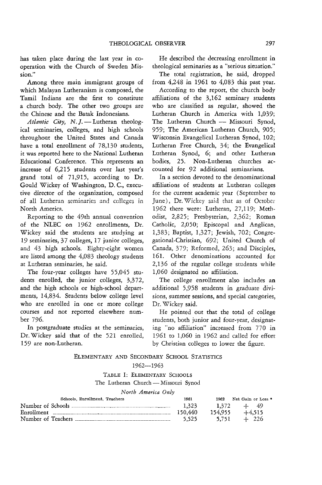has taken place during the last year in cooperation with the Church of Sweden Mission."

Among three main immigrant groups of which Malayan Lutheranism is composed, the Tamil Indians are the first to constitute a church body. The other rwo groups are the Chinese and the Batak Indonesians.

Atlantic City, N.J.-Lutheran theological seminaries, colleges, and high schools throughout the United States and Canada have a total enrollment of 78,130 students, it was reported here to the National Lutheran Educational Conference. This represents an increase of 6,215 students over last year's grand total of 71,915, according to Dr. Gould Wickey of Washington, D. C, executive director of the organization, composed of all Lutheran seminaries and colleges in North America.

Reporting to the 49th annual convention of the NLEC on 1962 enrollments, Dr. Wickey said the students are studying at 19 seminaries, 37 colleges, 17 junior colleges, and 43 high schools. Eighty-eight women are listed among the 4,083 theology students at Lutheran seminaries, he said.

The four-year colleges have 55,045 students enrolled, the junior colleges, 3,372, and the high schools or high-school departments, 14,834. Students below college level who are enrolled in one or more college courses and not reported elsewhere number 796.

In postgraduate studies at the seminaries, Dr. Wickey said that of the 521 enrolled, 159 are non-Lutheran.

He described the decreasing enrollment in theological seminaries as a "serious situation."

The total registration, he said, dropped from 4,248 in 1961 to 4,083 this past year.

According to the report, the church body affiliations of the 3,162 seminary students who are classified as regular, showed the Lutheran Church in America with 1,039; The Lutheran Church - Missouri Synod, 959; The American Lutheran Church, 905; Wisconsin Evangelical Lutheran Synod, 102; Lutheran Free Church, 34; the Evangelical Lutheran Synod, 6; and other Lutheran bodies, 25. Non-Lutheran churches accounted for 92 additional seminarians.

In a section devoted to the denominational affiliations of students at Lutheran colleges for the current academic year (September to June), Dr. Wickey said that as of October 1962 there were: Lutheran, 27,119; Methodist, 2,825; Presbyterian, 2,362; Roman Catholic, 2,050; Episcopal and Anglican, 1,383; Baptist, 1,327; Jewish, 702; Congregational-Christian, 692; United Church of Canada, 379; Reformed, 263; and Disciples, 161. Other denominations accounted for 2,136 of the regular college students while 1,060 designated no affiliation.

The college enrollment also includes an additional 5,958 students in graduate divisions, summer sessions, and special categories, Dr. Wickey said.

He pointed out that the total of college students, both junior and four-year, designating "no affiliation" increased from 770 in 1961 to 1,060 in 1962 and called for effort by Christian colleges to lower the figure.

#### ELEMENTARY AND SECONDARY SCHOOL STATISTICS

#### 1962-1963

TABLE I: ELEMENTARY SCHOOLS

The Lutheran Church - Missouri Synod

|  | North America Only |  |  |
|--|--------------------|--|--|
|--|--------------------|--|--|

| Schools, Enrollment, Teachers | 1961    | 1962    | Net Gain or Loss * |
|-------------------------------|---------|---------|--------------------|
|                               | 1.323   |         | $1.372 + 49$       |
|                               | 150.440 | 154.955 | $+4.515$           |
|                               | 5.525   | 5.751   | $+$ 226            |
|                               |         |         |                    |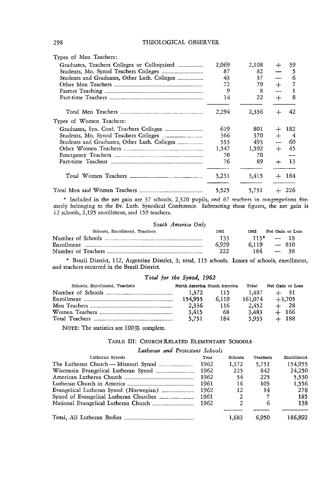| Types of Men Teachers:                                        |       |       |        |         |
|---------------------------------------------------------------|-------|-------|--------|---------|
|                                                               | 2,069 | 2,108 | $+$    | 39      |
|                                                               | 87    | 82.   |        | - 5     |
|                                                               | 43    | 37    |        | 6       |
|                                                               | 72    | 79    | $^{+}$ | 7       |
|                                                               | 9     | 8     |        | 1       |
|                                                               | 14    | 22    | $+$    | 8       |
|                                                               | 2.294 | 2,336 | $+$    | 42      |
| Types of Women Teachers:                                      |       |       |        |         |
|                                                               | 619   | 801   | $^{+}$ | 182     |
|                                                               | 366   | 370   | $+$    | -4      |
|                                                               | 553.  | 493   |        | 60      |
|                                                               | 1,547 | 1,592 | $+$    | 45      |
|                                                               | 70    | 70    |        |         |
|                                                               | 76    | 89    |        | 13      |
|                                                               | 3,231 | 3.415 |        | $+ 184$ |
| Total Men and Women Teachers ________________________________ | 5,525 | 5,751 |        | $+226$  |

\* Included in the net gain are 37 schools, 2,320 pupils, and 67 teachers in congregations formerly belonging to the Ev. Luth. Synodical Conference. Subtracting these figures, the net gain is 12 schools, 2,195 enrollment, and 159 teachers.

| South America Only            |       |      |                  |  |
|-------------------------------|-------|------|------------------|--|
| Schools, Enrollment, Teachers | 1961  | 1962 | Net Gain or Loss |  |
| Number of Schools             | 133   |      | $115*$ - 18      |  |
|                               | 6.929 |      | $6.119 - 810$    |  |
|                               | 222   | 184  | $-38$            |  |

" Brazil District, 112, Argentine District, 3; total, 115 schools. Losses of schools, enrollment, and teachers occurred in the Brazil District.

#### Total for the Synod, 1962

| Schools, Enrollment. Teachers |         | North America South America | Total   | Net Gain or Loss |
|-------------------------------|---------|-----------------------------|---------|------------------|
|                               | 1.372   | - 115                       | 1.487   | $+$ 31           |
|                               | 154.955 | 6.119                       | 161,074 | $+3.705$         |
|                               | 2,336   | 116                         | 2.452   | $+$ 28           |
|                               | 3.415   | 68                          | 3.483   | $+ 166$          |
|                               | 5.751   | 184                         | 5.935   | $+$ 188          |
|                               |         |                             |         |                  |

NOTE: The statistics are 100% complete.

#### TABLE III: CHURCH-RELATED ELEMENTARY SCHOOLS

*Lutheran and Protestant Schools* 

| Lutheran Synods                        | Year | Schools | Teachers | Enrollment |
|----------------------------------------|------|---------|----------|------------|
| The Lutheran Church - Missouri Synod   | 1962 | 1.372   | 5.751    | 154.955    |
|                                        | 1962 | 225     | 842      | 24.250     |
|                                        | 1962 | 54      | 225      | 5.530      |
|                                        | 1961 | 16      | 105      | 1.556      |
|                                        | 1962 | 12      | 14       | 278        |
| Synod of Evangelical Lutheran Churches | 1961 | 2       |          | 185        |
|                                        | 1962 |         | 6        | 138        |
|                                        |      |         |          |            |
|                                        |      | 1.683   | 6.950    | 186.892    |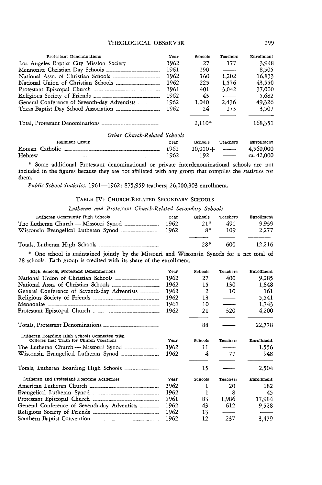#### THEOLOGICAL OBSERVER 299

| Protestant Denominations    | Year | Schools  | Teachers                       | Enrollment |
|-----------------------------|------|----------|--------------------------------|------------|
|                             | 1962 | 27       | 177                            | 3,948      |
|                             | 1961 | 190      | $\overbrace{\hspace{27mm}}^{}$ | 8.505      |
|                             | 1962 | 160      | 1.202                          | 16.833     |
|                             | 1962 | 225      | 1.576                          | 43.550     |
| Protestant Episcopal Church | 1961 | 401      | 3,042                          | 37,000     |
|                             | 1962 | 43       |                                | 5,682      |
|                             | 1962 | 1.040    | 2.436                          | 49,326     |
|                             | 1962 | 24       | 173                            | 3.507      |
|                             |      | $2.110*$ |                                | 168,351    |

#### *Other Church-Related Schools*

|        | Religious Group | Year | Schools    | Teachers                 | Enrollment   |
|--------|-----------------|------|------------|--------------------------|--------------|
|        | Roman Catholic  | 1962 | $10.000 +$ | $-$                      | 4,560,000    |
| Hebrew |                 | 1962 | 192        | $\overline{\phantom{a}}$ | ca. $42,000$ |

\* Some additional Protestant denominational or private interdenominational schools are not included in the figures because they are not affiliated with any group that compiles the statistics for them.

*Public School Statistics.* 1961-1962: 875,959 teachers; 26,000,303 enrollment.

#### TABLE IV: CHURCH-RELATED SECONDARY SCHOOLS

Lutheran and Protestant Church-Related Secondary Schools

| Lutheran Community High Schools      | Year | Schools | Teachers | Enrollment |
|--------------------------------------|------|---------|----------|------------|
|                                      | 1962 | $21*$   | 491      | 9.939      |
| Wisconsin Evangelical Lutheran Synod | 1962 | $2*$    | 109      | 2.277      |
|                                      |      |         |          |            |

|  |  | 600 | 12,216 |
|--|--|-----|--------|
|--|--|-----|--------|

" One school is maintained jointly by the Missouri and Wisconsin Synods for a net total of 28 schools. Each group is credited with its share of the enrollment.

| High Schools, Protestant Denominations                                                    | Year | Schools | Teachers                 | Enrollment |
|-------------------------------------------------------------------------------------------|------|---------|--------------------------|------------|
|                                                                                           | 1962 | 27      | 400                      | 9.285      |
|                                                                                           | 1962 | 15      | 130                      | 1,848      |
| General Conference of Seventh-day Adventists                                              | 1962 | 2       | 10                       | 161        |
|                                                                                           | 1962 | 13      | $\qquad \qquad$          | 5,541      |
|                                                                                           | 1961 | 10      | ___                      | 1,743      |
|                                                                                           | 1962 | 21      | 320                      | 4,200      |
|                                                                                           |      |         |                          |            |
|                                                                                           |      | 88      |                          | 22,778     |
| Lutheran Boarding High Schools Connected with<br>Colleges that Train for Church Vocations |      |         |                          |            |
|                                                                                           | Year | Schools | Teachers                 | Enrollment |
|                                                                                           | 1962 | 11      |                          | 1.556      |
| Wisconsin Evangelical Lutheran Synod                                                      | 1962 | 4       | 77                       | 948        |
|                                                                                           |      | 15      |                          | 2,504      |
| Lutheran and Protestant Boarding Academies                                                | Year | Schools | Teachers                 | Enrollment |
|                                                                                           | 1962 | 1       | 20                       | 182        |
|                                                                                           | 1962 | 1       | 8                        | 45         |
|                                                                                           | 1961 | 83      | 1,986                    | 17,984     |
| General Conference of Seventh-day Adventists                                              | 1962 | 43      | 612                      | 9.528      |
|                                                                                           | 1962 | 13      | $\overline{\phantom{a}}$ |            |
|                                                                                           | 1962 | 12      | 237                      | 3,479      |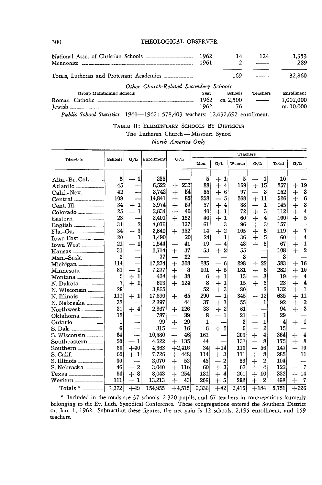300 THEOLOGICAL OBSERVER

|                                                         | 1962<br>1961 | 14        | 124                      | 1.353<br>289 |
|---------------------------------------------------------|--------------|-----------|--------------------------|--------------|
| Totals, Lutheran and Protestant Academies _____________ |              | 169       |                          | 32,860       |
| Other Church-Related Secondary Schools                  |              |           |                          |              |
| Group Maintaining Schools                               | Year         | Schools   | Teachers                 | Enrollment   |
|                                                         | 1962         | ca. 2.500 |                          | 1,002,000    |
|                                                         | 1962         | 76        | $\overline{\phantom{a}}$ | ca. 10,000   |

*Public School Statistics.* 1961-1962: 578,403 teachers; 12,632,692 enrollment.

#### TABLE II: ELEMENTARY SCHOOLS By DISTRICTS The Lutheran Church - Missouri Synod *North America Only*

|                                      | Schools      | G/L                                             | Enrollment |                                | Teachers     |                                |       |                                |                |                                |
|--------------------------------------|--------------|-------------------------------------------------|------------|--------------------------------|--------------|--------------------------------|-------|--------------------------------|----------------|--------------------------------|
| Districts                            |              |                                                 |            | G/L                            | Men          | G/L                            | Women | G/L                            | Total          | G/L                            |
| Alta.-Br. Col.                       | 5            | $\mathbf{1}$                                    | 235        |                                | 5            | 1<br>$\div$                    | 5     | 1                              | 10             |                                |
| Atlantic ___________                 | 45           |                                                 | 6,522      | 237<br>┿                       | 88           | $\overline{4}$<br>$+$          | 169   | 15<br>$\ddot{}$                | 257            | 19<br>$\, +$                   |
| $Calif.-New.$                        | 42           |                                                 | 3,742      | 54<br>$+$                      | 55           | $+6$                           | 97    | 3<br>$\overline{\phantom{0}}$  | 152            | 3<br>$^{+}$                    |
| Central                              | 109          |                                                 | 14,841     | 85<br>$+$                      | 258          | 5                              | 268   | $+$<br>11                      | 526            | $6\phantom{1}6$<br>$+$         |
| Cent. Ill. _____________             | 34           | $+1$                                            | 3.974      | 57<br>$^{+}$                   | 57           | $\ddot{}$<br>4                 | 88    | $\mathbf{1}$                   | 145            | 3<br>$^{+}$                    |
| Colorado                             | 25           | 1                                               | 2,834      | 46                             | 40           | $\overline{+}$<br>$\mathbf{1}$ | 72    | 3<br>$^{+}$                    | 112            | $\boldsymbol{4}$<br>$+$        |
| Eastern                              | 28           |                                                 | 2,401      | $+$<br>152                     | 40           | $+$<br>$\mathbf{1}$            | 60    | $\overline{4}$<br>$^{+}$       | 100            | 5<br>$+$                       |
| English                              | 31           | $\overline{2}$                                  | 4,076      | 137<br><u></u>                 | 61           | 3                              | 96    | 3<br>$\ddot{}$                 | 157            |                                |
| $_{\rm{Fla.-Ga.}}$                   | 34           | $\bf 3$<br>$+$                                  | 2,840      | 132<br>$+$                     | 14           | $+$<br>$\overline{2}$          | 105   | $\overline{5}$<br>$+$          | 119            | $\overline{7}$<br>$^{+}$       |
|                                      | 20           | $\mathbf{1}$                                    | 1,490      | 20                             | 24           | $\mathbf{1}$                   | 36    | ┿<br>5                         | 60             | $\overline{4}$<br>$+$          |
|                                      | 21           | 1                                               | 1,544      | 41                             | 19           | $\overline{4}$                 | 48    | $\ddot{}$<br>5                 | 67             | $\mathbf{1}$<br>$+$            |
| Kansas ________ __                   | 31           |                                                 | 2,714      | 37<br>$^{+}$                   | 53           | $+2$                           | 55    |                                | 108            | $\overline{2}$<br>$+$          |
| Man.-Sask. _____                     | 3            |                                                 | 77         | 12<br>$\overline{\phantom{0}}$ |              |                                | 3     |                                | 3              |                                |
| Michigan                             | 114          |                                                 | 17,274     | 308<br>$+$                     | 285          | 6                              | 298   | 22<br>┽                        | 583            | 16<br>$+$                      |
| Minnesota _________                  | 81           | $-1$                                            | 7,277      | $\ddot{}$<br>8                 | 101          | 5<br>$+$                       | 181   | $\overline{+}$<br>5            | 282            | 10<br>$+$                      |
| Montana                              | 5            | $\mathbf{1}$<br>$\hspace{.1cm} + \hspace{.1cm}$ | 434        | $\ddot{+}$<br>38               | 6            | $^{+}$<br>1                    | 13    | $\overline{+}$<br>3            | 19             | $\overline{4}$<br>$^{+}$       |
| N. Dakota ________                   | 7            | $+$<br>$\mathbf{1}$                             | 603        | $+$<br>124                     | 8            | $\mathbf{1}$                   | 15    | $\frac{1}{\pm}$<br>3           | 23             | $\overline{\mathbf{4}}$<br>$+$ |
| N. Wisconsin _____                   | 29           |                                                 | 3,865      |                                | 52           | $+$<br>3                       | 80    | $\overline{2}$                 | 132            | $\mathbf{1}$<br>$+$            |
| N. Illinois ________                 | 111          | -1<br>$+$                                       | 17,690     | 65<br>$^{+}$                   | 290          | $\mathbf{1}$                   | 345   | 12<br>$\ddot{}$                | 635            | 11<br>$+$                      |
|                                      | 32           |                                                 | 2,397      | 44<br>—                        | 37           | $^{+}$<br>1                    | 55    | $+$<br>1                       | 92             | $\overline{2}$<br>$+$          |
| Northwest                            | 31           | $+4$                                            | 2,367      | 126<br>$+$                     | 33           | $+$<br>$\overline{c}$          | 61    |                                | 94             | $\overline{2}$<br>$+$          |
| Oklahoma                             | 12           |                                                 | 787        | 39                             | 8            | $\mathbf{1}$                   | 21    | 1<br>┿                         | 29             |                                |
| Ontario <sub>----------</sub> ------ | $\mathbf{1}$ |                                                 | 99         | 29<br>┿                        | $\mathbf{1}$ |                                | 3     | $\overline{+}$<br>$\mathbf{1}$ | $\overline{4}$ | 1<br>$\pm$                     |
| S. Dak. _____________                | 6            |                                                 | 315        | 16<br>—                        | 6            | $\overline{2}$<br>$+$          | 9     | $\overline{c}$                 | 15             |                                |
| S. Wisconsin                         | 64           |                                                 | 10,580     | —<br>46                        | 161          |                                | 203   | 4<br>$+$                       | 364            | $\overline{4}$<br>┿            |
|                                      | 50           | $\mathbf{1}$                                    | 4.522      | 135<br>$+$                     | 44           |                                | 131   | 8<br>$\overline{+}$            | 175            | 8<br>$+$                       |
| Southern __________                  | 60           | $+40$                                           | 4,363      | $+2,416$                       | 34           | $+14$                          | 113   | 56<br>$^{+}$                   | 147            | 70<br>$+$                      |
| S. Calif. ___________                | 60           | $\hbox{+}~1$                                    | 7.726      | 448<br>$\pm$                   | 114          | $+3$                           | 171   | 8<br>┿                         | 285            | 11<br>$+$                      |
| S. Illinois ________                 | 30           |                                                 | 3,070      | 52<br>$^{+}$                   | 45           | $\overline{2}$                 | 59    | $\overline{2}$<br>$\pm$        | 104            |                                |
| S. Nebraska <sub>-----------</sub>   | 46           | $\overline{2}$                                  | 3,040      | 116<br>$+$                     | 60           | 3<br>$+$                       | 62    | 4<br>$+$                       | 122            | -7<br>$\! +$                   |
|                                      | 94           | 8<br>$\boldsymbol{+}$                           | 8,043      | 254<br>$+$                     | 131          | $\ddag$<br>$\vert$ 4           | 201   | 10<br>$+$                      | 332            | 14<br>┿                        |
| Western _____________                | 111          | $\mathbf{1}$                                    | 13,213     | 43<br>$+$                      | 206          | 5<br>$+$                       | 292   | $\mathbf 2$<br>┿               | 498            | -7<br>┽                        |
|                                      | 1,372        | $+49$                                           | 154,955    | $+4,515$                       | 2,336        | $+42$                          | 3,415 | $+184$                         | 5,751          | $+226$                         |

" Included in the totals are 37 schools, 2,320 pupils, and 67 teachers in congregations formerly belonging to the Ev. Luth. Synodical Conference. These congregations entered the Southern District on Jan. 1, 1962. Subtracting these figures, the net gain is 12 schools, 2,195 enrollment, and 159 teachers.